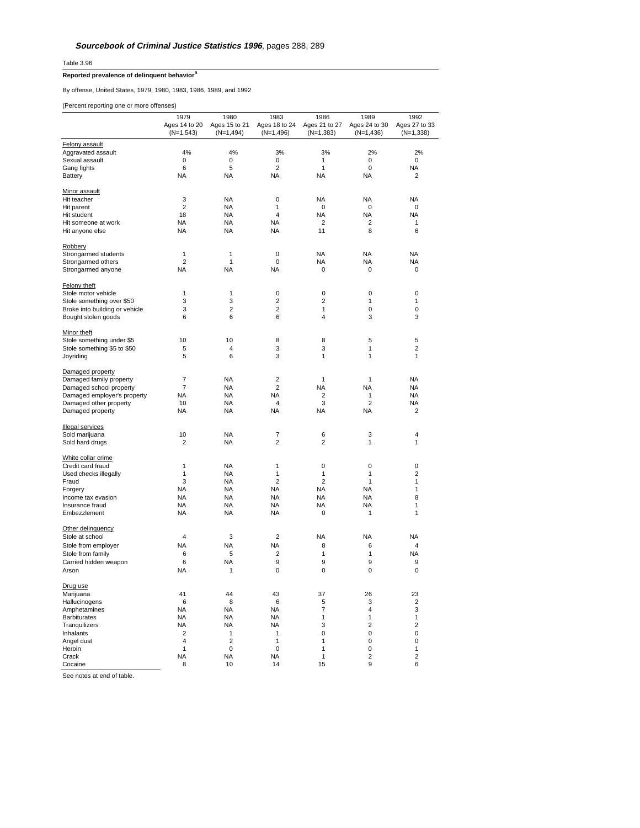Table 3.96

## **Reported prevalence of delinquent behavior**<sup>a</sup>

By offense, United States, 1979, 1980, 1983, 1986, 1989, and 1992

(Percent reporting one or more offenses)

|                                | 1979<br>Ages 14 to 20<br>(N=1,543) | 1980<br>Ages 15 to 21<br>(N=1,494) | 1983<br>Ages 18 to 24<br>$(N=1,496)$ | 1986<br>Ages 21 to 27<br>$(N=1,383)$ | 1989<br>Ages 24 to 30<br>$(N=1,436)$ | 1992<br>Ages 27 to 33<br>$(N=1,338)$ |
|--------------------------------|------------------------------------|------------------------------------|--------------------------------------|--------------------------------------|--------------------------------------|--------------------------------------|
| Felony assault                 |                                    |                                    |                                      |                                      |                                      |                                      |
| Aggravated assault             | 4%                                 | 4%                                 | 3%                                   | 3%                                   | 2%                                   | 2%                                   |
| Sexual assault                 | 0                                  | $\mathsf 0$                        | 0                                    | 1                                    | 0                                    | 0                                    |
| Gang fights                    | 6                                  | 5                                  | $\overline{c}$                       | 1                                    | 0                                    | <b>NA</b>                            |
| <b>Battery</b>                 | <b>NA</b>                          | <b>NA</b>                          | <b>NA</b>                            | NA                                   | <b>NA</b>                            | $\overline{2}$                       |
| Minor assault                  |                                    |                                    |                                      |                                      |                                      |                                      |
| Hit teacher                    | 3                                  | <b>NA</b>                          | $\mathbf 0$                          | <b>NA</b>                            | <b>NA</b>                            | <b>NA</b>                            |
| Hit parent                     | $\overline{c}$                     | <b>NA</b>                          | 1                                    | 0                                    | 0                                    | 0                                    |
| Hit student                    | 18                                 | <b>NA</b>                          | 4                                    | NA                                   | <b>NA</b>                            | <b>NA</b>                            |
| Hit someone at work            | <b>NA</b>                          | <b>NA</b>                          | <b>NA</b>                            | $\overline{c}$                       | $\overline{2}$                       | 1                                    |
| Hit anyone else                | <b>NA</b>                          | <b>NA</b>                          | <b>NA</b>                            | 11                                   | 8                                    | 6                                    |
| Robbery                        |                                    |                                    |                                      |                                      |                                      |                                      |
| Strongarmed students           | $\mathbf{1}$                       | $\mathbf{1}$                       | 0                                    | <b>NA</b>                            | <b>NA</b>                            | <b>NA</b>                            |
| Strongarmed others             | $\overline{2}$                     | $\mathbf{1}$                       | $\mathbf 0$                          | ΝA                                   | <b>NA</b>                            | <b>NA</b>                            |
| Strongarmed anyone             | <b>NA</b>                          | <b>NA</b>                          | <b>NA</b>                            | 0                                    | 0                                    | 0                                    |
| Felony theft                   |                                    |                                    |                                      |                                      |                                      |                                      |
| Stole motor vehicle            | 1                                  | 1                                  | $\pmb{0}$                            | 0                                    | 0                                    | $\pmb{0}$                            |
| Stole something over \$50      | 3                                  | 3                                  | $\overline{c}$                       | 2                                    | 1                                    | 1                                    |
| Broke into building or vehicle | 3                                  | $\overline{2}$                     | $\overline{2}$                       | 1                                    | 0                                    | 0                                    |
| Bought stolen goods            | 6                                  | 6                                  | 6                                    | 4                                    | 3                                    | 3                                    |
| Minor theft                    |                                    |                                    |                                      |                                      |                                      |                                      |
| Stole something under \$5      | 10                                 | 10                                 | 8                                    | 8                                    | 5                                    | 5                                    |
| Stole something \$5 to \$50    | 5                                  | 4                                  | 3                                    | 3                                    | 1                                    | $\overline{2}$                       |
| Joyriding                      | 5                                  | 6                                  | 3                                    | 1                                    | $\mathbf{1}$                         | 1                                    |
| Damaged property               |                                    |                                    |                                      |                                      |                                      |                                      |
| Damaged family property        | $\overline{7}$                     | <b>NA</b>                          | $\overline{\mathbf{c}}$              | $\mathbf{1}$                         | 1                                    | <b>NA</b>                            |
| Damaged school property        | 7                                  | <b>NA</b>                          | $\overline{c}$                       | NA                                   | <b>NA</b>                            | <b>NA</b>                            |
| Damaged employer's property    | <b>NA</b>                          | <b>NA</b>                          | <b>NA</b>                            | 2                                    | 1                                    | <b>NA</b>                            |
| Damaged other property         | 10                                 | <b>NA</b>                          | 4                                    | 3                                    | $\overline{2}$                       | <b>NA</b>                            |
| Damaged property               | <b>NA</b>                          | <b>NA</b>                          | <b>NA</b>                            | NA                                   | <b>NA</b>                            | $\overline{\mathbf{c}}$              |
| <b>Illegal services</b>        |                                    |                                    |                                      |                                      |                                      |                                      |
| Sold marijuana                 | 10                                 | <b>NA</b>                          | 7                                    | 6                                    | 3                                    | 4                                    |
| Sold hard drugs                | $\overline{c}$                     | <b>NA</b>                          | $\overline{2}$                       | 2                                    | 1                                    | 1                                    |
| White collar crime             |                                    |                                    |                                      |                                      |                                      |                                      |
| Credit card fraud              | 1                                  | <b>NA</b>                          | 1                                    | 0                                    | $\mathbf 0$                          | 0                                    |
| Used checks illegally          | 1                                  | <b>NA</b>                          | 1                                    | 1                                    | $\mathbf{1}$                         | $\overline{2}$                       |
| Fraud                          | 3                                  | <b>NA</b>                          | $\overline{c}$                       | $\overline{2}$                       | $\mathbf{1}$                         | 1                                    |
| Forgery                        | <b>NA</b>                          | <b>NA</b>                          | <b>NA</b>                            | ΝA                                   | <b>NA</b>                            | 1                                    |
| Income tax evasion             | <b>NA</b>                          | <b>NA</b>                          | <b>NA</b>                            | <b>NA</b>                            | <b>NA</b>                            | 8                                    |
| Insurance fraud                | <b>NA</b>                          | <b>NA</b>                          | <b>NA</b>                            | <b>NA</b>                            | <b>NA</b>                            | 1                                    |
| Embezzlement                   | <b>NA</b>                          | <b>NA</b>                          | <b>NA</b>                            | 0                                    | 1                                    | 1                                    |
| Other delinquency              |                                    |                                    |                                      |                                      |                                      |                                      |
| Stole at school                | 4                                  | 3                                  | $\overline{2}$                       | NA                                   | <b>NA</b>                            | NA                                   |
| Stole from employer            | <b>NA</b>                          | <b>NA</b>                          | <b>NA</b>                            | 8                                    | 6                                    | $\overline{4}$                       |
| Stole from family              | 6                                  | 5                                  | $\overline{2}$                       | 1                                    | 1                                    | <b>NA</b>                            |
| Carried hidden weapon          | 6                                  | <b>NA</b>                          | 9                                    | 9                                    | 9                                    | 9                                    |
| Arson                          | <b>NA</b>                          | 1                                  | $\mathbf 0$                          | 0                                    | 0                                    | $\mathbf 0$                          |
| Drug use                       |                                    |                                    |                                      |                                      |                                      |                                      |
| Marijuana                      | 41                                 | 44                                 | 43                                   | 37                                   | 26                                   | 23                                   |
| Hallucinogens                  | 6                                  | 8                                  | 6                                    | 5                                    | 3                                    | $\overline{\mathbf{c}}$              |
| Amphetamines                   | <b>NA</b>                          | <b>NA</b>                          | <b>NA</b>                            | 7                                    | 4                                    | 3                                    |
| <b>Barbiturates</b>            | <b>NA</b>                          | <b>NA</b>                          | <b>NA</b>                            | 1                                    | 1                                    | 1                                    |
| Tranquilizers                  | <b>NA</b>                          | <b>NA</b>                          | <b>NA</b>                            | 3                                    | $\overline{2}$                       | $\overline{\mathbf{c}}$              |
| Inhalants                      | 2                                  | 1                                  | 1                                    | 0                                    | 0                                    | 0                                    |
| Angel dust                     | 4                                  | $\overline{2}$                     | $\mathbf{1}$                         | 1                                    | 0                                    | 0                                    |
| Heroin                         | 1                                  | 0                                  | 0                                    | 1                                    | 0                                    | 1                                    |
| Crack<br>Cocaine               | NA<br>8                            | <b>NA</b><br>10                    | <b>NA</b><br>14                      | 1<br>15                              | $\overline{c}$<br>9                  | $\overline{\mathbf{c}}$<br>6         |
|                                |                                    |                                    |                                      |                                      |                                      |                                      |

See notes at end of table.